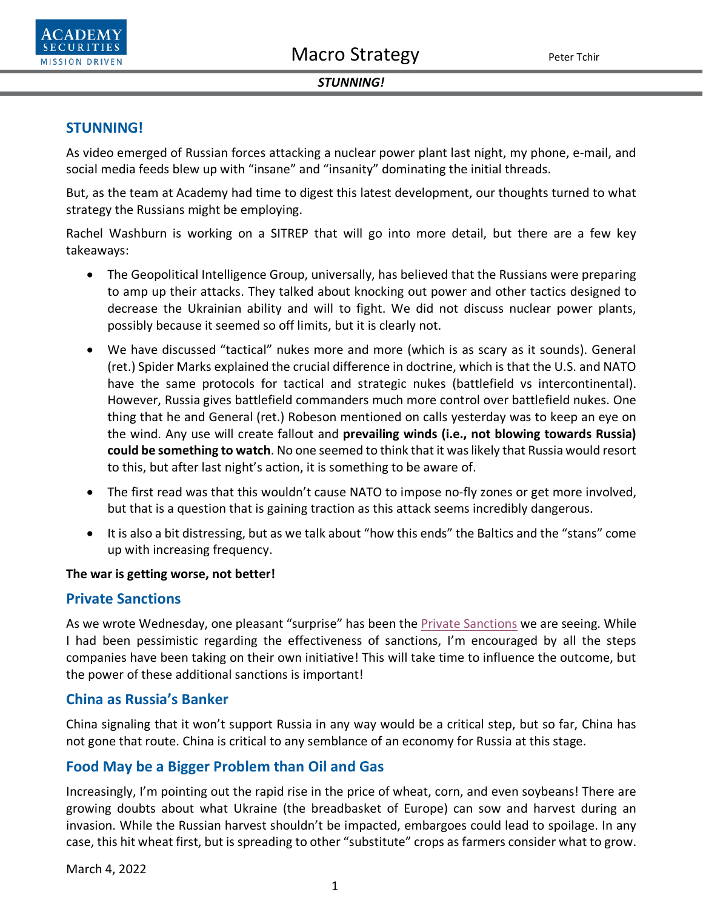

### *STUNNING!*

# **STUNNING!**

As video emerged of Russian forces attacking a nuclear power plant last night, my phone, e-mail, and social media feeds blew up with "insane" and "insanity" dominating the initial threads.

But, as the team at Academy had time to digest this latest development, our thoughts turned to what strategy the Russians might be employing.

Rachel Washburn is working on a SITREP that will go into more detail, but there are a few key takeaways:

- The Geopolitical Intelligence Group, universally, has believed that the Russians were preparing to amp up their attacks. They talked about knocking out power and other tactics designed to decrease the Ukrainian ability and will to fight. We did not discuss nuclear power plants, possibly because it seemed so off limits, but it is clearly not.
- We have discussed "tactical" nukes more and more (which is as scary as it sounds). General (ret.) Spider Marks explained the crucial difference in doctrine, which is that the U.S. and NATO have the same protocols for tactical and strategic nukes (battlefield vs intercontinental). However, Russia gives battlefield commanders much more control over battlefield nukes. One thing that he and General (ret.) Robeson mentioned on calls yesterday was to keep an eye on the wind. Any use will create fallout and **prevailing winds (i.e., not blowing towards Russia) could be something to watch**. No one seemed to think that it waslikely that Russia would resort to this, but after last night's action, it is something to be aware of.
- The first read was that this wouldn't cause NATO to impose no-fly zones or get more involved, but that is a question that is gaining traction as this attack seems incredibly dangerous.
- It is also a bit distressing, but as we talk about "how this ends" the Baltics and the "stans" come up with increasing frequency.

### **The war is getting worse, not better!**

## **Private Sanctions**

As we wrote Wednesday, one pleasant "surprise" has been the [Private Sanctions](https://www.academysecurities.com/wordpress/wp-content/uploads/2022/03/Business-Follows-and-Even-Leads-the-Flag.pdf) we are seeing. While I had been pessimistic regarding the effectiveness of sanctions, I'm encouraged by all the steps companies have been taking on their own initiative! This will take time to influence the outcome, but the power of these additional sanctions is important!

# **China as Russia's Banker**

China signaling that it won't support Russia in any way would be a critical step, but so far, China has not gone that route. China is critical to any semblance of an economy for Russia at this stage.

# **Food May be a Bigger Problem than Oil and Gas**

Increasingly, I'm pointing out the rapid rise in the price of wheat, corn, and even soybeans! There are growing doubts about what Ukraine (the breadbasket of Europe) can sow and harvest during an invasion. While the Russian harvest shouldn't be impacted, embargoes could lead to spoilage. In any case, this hit wheat first, but is spreading to other "substitute" crops as farmers consider what to grow.